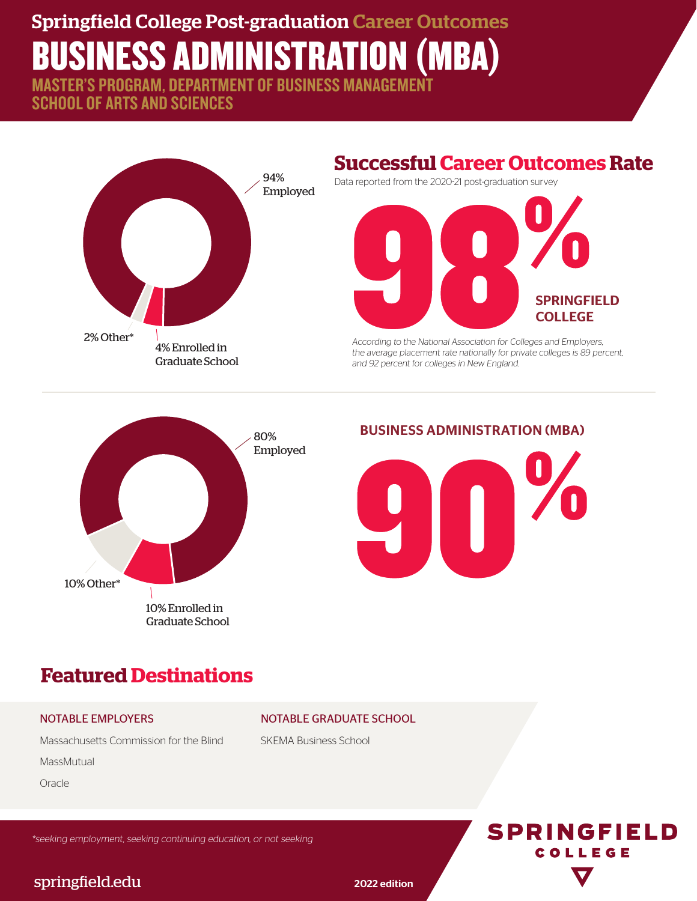# Springfield College Post-graduation Career Outcomes BUSINESS ADMINISTRATION (MBA)

MASTER'S PROGRAM, DEPARTMENT OF BUSINESS MANAGEMENT SCHOOL OF ARTS AND SCIENCES



# **Successful Career Outcomes Rate**

Data reported from the 2020-21 post-graduation survey



According to the National Association for Colleges and Employers, the average placement rate nationally for private colleges is 89 percent, and 92 percent for colleges in New England.



#### BUSINESS ADMINISTRATION (MBA)



# **Featured Destinations**

#### NOTABLE EMPLOYERS

Massachusetts Commission for the Blind

**MassMutual** 

**Oracle** 

\*seeking employment, seeking continuing education, or not seeking



#### springfield.edu 2022 edition

NOTABLE GRADUATE SCHOOL

SKEMA Business School